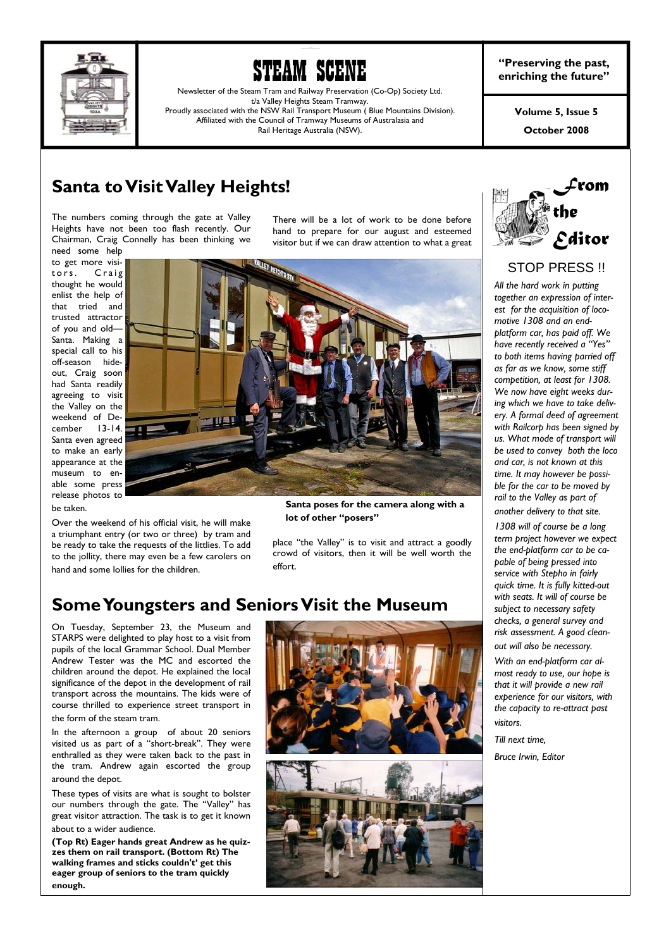



Newsletter of the Steam Tram and Railway Preservation (Co-Op) Society Ltd. t/a Valley Heights Steam Tramway. Proudly associated with the NSW Rail Transport Museum ( Blue Mountains Division). Affiliated with the Council of Tramway Museums of Australasia and Rail Heritage Australia (NSW).

**"Preserving the past, enriching the future"** 

> **October 2008 Volume 5, Issue 5**

## **Santa to Visit Valley Heights!**

The numbers coming through the gate at Valley Heights have not been too flash recently. Our Chairman, Craig Connelly has been thinking we need some help

to get more visitors. Craig thought he would enlist the help of that tried and trusted attractor of you and old— Santa. Making a special call to his off-season hideout, Craig soon had Santa readily agreeing to visit the Valley on the weekend of December 13-14. Santa even agreed to make an early appearance at the museum to enable some press release photos to be taken.

Over the weekend of his official visit, he will make a triumphant entry (or two or three) by tram and be ready to take the requests of the littlies. To add to the jollity, there may even be a few carolers on hand and some lollies for the children.

There will be a lot of work to be done before hand to prepare for our august and esteemed visitor but if we can draw attention to what a great



**Santa poses for the camera along with a lot of other "posers"** 

place "the Valley" is to visit and attract a goodly crowd of visitors, then it will be well worth the effort.

### **Some Youngsters and Seniors Visit the Museum**

On Tuesday, September 23, the Museum and STARPS were delighted to play host to a visit from pupils of the local Grammar School. Dual Member Andrew Tester was the MC and escorted the children around the depot. He explained the local significance of the depot in the development of rail transport across the mountains. The kids were of course thrilled to experience street transport in the form of the steam tram.

In the afternoon a group of about 20 seniors visited us as part of a "short-break". They were enthralled as they were taken back to the past in the tram. Andrew again escorted the group around the depot.

These types of visits are what is sought to bolster our numbers through the gate. The "Valley" has great visitor attraction. The task is to get it known about to a wider audience.

**(Top Rt) Eager hands great Andrew as he quizzes them on rail transport. (Bottom Rt) The walking frames and sticks couldn't' get this eager group of seniors to the tram quickly enough.**







### STOP PRESS !!

*All the hard work in putting together an expression of interest for the acquisition of locomotive 1308 and an endplatform car, has paid off. We have recently received a "Yes" to both items having parried off as far as we know, some stiff competition, at least for 1308. We now have eight weeks during which we have to take delivery. A formal deed of agreement with Railcorp has been signed by us. What mode of transport will be used to convey both the loco and car, is not known at this time. It may however be possible for the car to be moved by rail to the Valley as part of another delivery to that site.* 

*1308 will of course be a long term project however we expect the end-platform car to be capable of being pressed into service with Stepho in fairly quick time. It is fully kitted-out with seats. It will of course be subject to necessary safety checks, a general survey and risk assessment. A good clean-*

*out will also be necessary.* 

*With an end-platform car almost ready to use, our hope is that it will provide a new rail experience for our visitors, with the capacity to re-attract past visitors.* 

*Till next time,* 

*Bruce Irwin, Editor*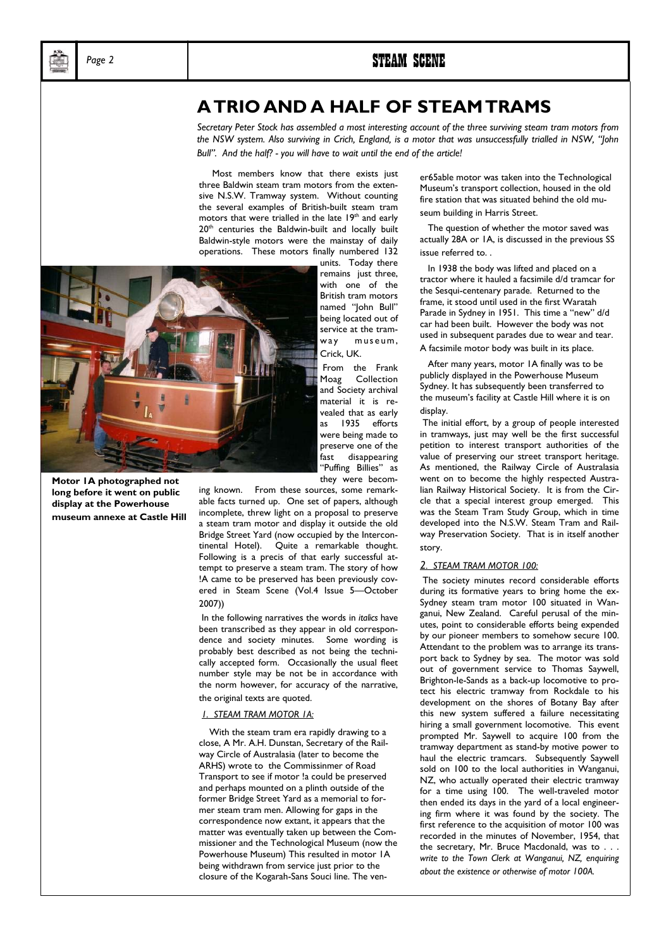### **A TRIO AND A HALF OF STEAM TRAMS**

*Secretary Peter Stock has assembled a most interesting account of the three surviving steam tram motors from the NSW system. Also surviving in Crich, England, is a motor that was unsuccessfully trialled in NSW, "John Bull". And the half? - you will have to wait until the end of the article!* 

 Most members know that there exists just three Baldwin steam tram motors from the extensive N.S.W. Tramway system. Without counting the several examples of British-built steam tram motors that were trialled in the late 19<sup>th</sup> and early 20<sup>th</sup> centuries the Baldwin-built and locally built Baldwin-style motors were the mainstay of daily operations. These motors finally numbered 132



**Motor 1A photographed not long before it went on public display at the Powerhouse museum annexe at Castle Hill**  remains just three, with one of the British tram motors named "John Bull" being located out of service at the tramway museum, Crick, UK. From the Frank

Moag Collection and Society archival material it is revealed that as early as 1935 efforts were being made to preserve one of the fast disappearing "Puffing Billies" as they were becom-

ing known. From these sources, some remarkable facts turned up. One set of papers, although incomplete, threw light on a proposal to preserve a steam tram motor and display it outside the old Bridge Street Yard (now occupied by the Intercontinental Hotel). Quite a remarkable thought. Following is a precis of that early successful attempt to preserve a steam tram. The story of how !A came to be preserved has been previously covered in Steam Scene (Vol.4 Issue 5—October 2007))

 In the following narratives the words in *italics* have been transcribed as they appear in old correspondence and society minutes. Some wording is probably best described as not being the technically accepted form. Occasionally the usual fleet number style may be not be in accordance with the norm however, for accuracy of the narrative, the original texts are quoted.

#### *1. STEAM TRAM MOTOR 1A:*

 With the steam tram era rapidly drawing to a close, A Mr. A.H. Dunstan, Secretary of the Railway Circle of Australasia (later to become the ARHS) wrote to the Commissinmer of Road Transport to see if motor !a could be preserved and perhaps mounted on a plinth outside of the former Bridge Street Yard as a memorial to former steam tram men. Allowing for gaps in the correspondence now extant, it appears that the matter was eventually taken up between the Commissioner and the Technological Museum (now the Powerhouse Museum) This resulted in motor 1A being withdrawn from service just prior to the closure of the Kogarah-Sans Souci line. The vener65able motor was taken into the Technological Museum's transport collection, housed in the old fire station that was situated behind the old museum building in Harris Street.

 The question of whether the motor saved was actually 28A or 1A, is discussed in the previous SS issue referred to. .

 In 1938 the body was lifted and placed on a tractor where it hauled a facsimile d/d tramcar for the Sesqui-centenary parade. Returned to the frame, it stood until used in the first Waratah Parade in Sydney in 1951. This time a "new" d/d car had been built. However the body was not used in subsequent parades due to wear and tear. A facsimile motor body was built in its place.

 After many years, motor 1A finally was to be publicly displayed in the Powerhouse Museum Sydney. It has subsequently been transferred to the museum's facility at Castle Hill where it is on display.

 The initial effort, by a group of people interested in tramways, just may well be the first successful petition to interest transport authorities of the value of preserving our street transport heritage. As mentioned, the Railway Circle of Australasia went on to become the highly respected Australian Railway Historical Society. It is from the Circle that a special interest group emerged. This was the Steam Tram Study Group, which in time developed into the N.S.W. Steam Tram and Railway Preservation Society. That is in itself another story.

#### *2. STEAM TRAM MOTOR 100:*

 The society minutes record considerable efforts during its formative years to bring home the ex-Sydney steam tram motor 100 situated in Wanganui, New Zealand. Careful perusal of the minutes, point to considerable efforts being expended by our pioneer members to somehow secure 100. Attendant to the problem was to arrange its transport back to Sydney by sea. The motor was sold out of government service to Thomas Saywell, Brighton-le-Sands as a back-up locomotive to protect his electric tramway from Rockdale to his development on the shores of Botany Bay after this new system suffered a failure necessitating hiring a small government locomotive. This event prompted Mr. Saywell to acquire 100 from the tramway department as stand-by motive power to haul the electric tramcars. Subsequently Saywell sold on 100 to the local authorities in Wanganui, NZ, who actually operated their electric tramway for a time using 100. The well-traveled motor then ended its days in the yard of a local engineering firm where it was found by the society. The first reference to the acquisition of motor 100 was recorded in the minutes of November, 1954, that the secretary, Mr. Bruce Macdonald, was to. *write to the Town Clerk at Wanganui, NZ, enquiring about the existence or otherwise of motor 100A.*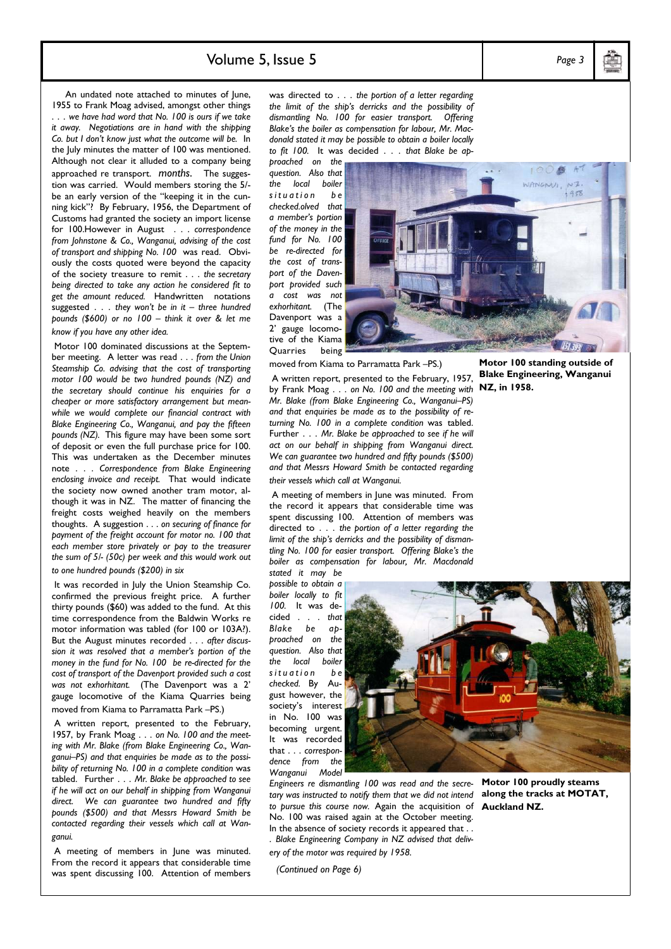### Volume 5, Issue 5 *Page 3*

An undated note attached to minutes of lune, 1955 to Frank Moag advised, amongst other things . . . *we have had word that No. 100 is ours if we take it away. Negotiations are in hand with the shipping Co. but I don't know just what the outcome will be.* In the July minutes the matter of 100 was mentioned. Although not clear it alluded to a company being approached re transport. *months*. The suggestion was carried. Would members storing the 5/ be an early version of the "keeping it in the cunning kick"? By February, 1956, the Department of Customs had granted the society an import license for 100.However in August . . . *correspondence from Johnstone & Co., Wanganui, advising of the cost of transport and shipping No. 100* was read. Obviously the costs quoted were beyond the capacity of the society treasure to remit . . . *the secretary being directed to take any action he considered fit to get the amount reduced.* Handwritten notations suggested . . . *they won't be in it – three hundred pounds (\$600) or no 100 – think it over & let me know if you have any other idea.* 

 Motor 100 dominated discussions at the September meeting. A letter was read . . . *from the Union Steamship Co. advising that the cost of transporting motor 100 would be two hundred pounds (NZ) and the secretary should continue his enquiries for a cheaper or more satisfactory arrangement but meanwhile we would complete our financial contract with Blake Engineering Co., Wanganui, and pay the fifteen pounds (NZ).* This figure may have been some sort of deposit or even the full purchase price for 100. This was undertaken as the December minutes note . . . *Correspondence from Blake Engineering enclosing invoice and receipt.* That would indicate the society now owned another tram motor, although it was in NZ. The matter of financing the freight costs weighed heavily on the members thoughts. A suggestion . . . *on securing of finance for payment of the freight account for motor no. 100 that each member store privately or pay to the treasurer the sum of 5/- (50c) per week and this would work out to one hundred pounds (\$200) in six* 

 It was recorded in July the Union Steamship Co. confirmed the previous freight price. A further thirty pounds (\$60) was added to the fund. At this time correspondence from the Baldwin Works re motor information was tabled (for 100 or 103A?). But the August minutes recorded . . . *after discussion it was resolved that a member's portion of the money in the fund for No. 100 be re-directed for the cost of transport of the Davenport provided such a cost was not exhorhitant.* (The Davenport was a 2' gauge locomotive of the Kiama Quarries being moved from Kiama to Parramatta Park –PS.)

 A written report, presented to the February, 1957, by Frank Moag . . . *on No. 100 and the meeting with Mr. Blake (from Blake Engineering Co., Wanganui–PS) and that enquiries be made as to the possibility of returning No. 100 in a complete condition* was tabled. Further . . . *Mr. Blake be approached to see if he will act on our behalf in shipping from Wanganui direct. We can guarantee two hundred and fifty pounds (\$500) and that Messrs Howard Smith be contacted regarding their vessels which call at Wanganui.* 

 A meeting of members in June was minuted. From the record it appears that considerable time was spent discussing 100. Attention of members

was directed to . . . *the portion of a letter regarding the limit of the ship's derricks and the possibility of dismantling No. 100 for easier transport. Offering Blake's the boiler as compensation for labour, Mr. Macdonald stated it may be possible to obtain a boiler locally to fit 100.* It was decided . . . *that Blake be ap-*

*proached on the question. Also that the local boiler s i t u a t i o n b e checked.olved that a member's portion of the money in the fund for No. 100 be re-directed for the cost of transport of the Davenport provided such a cost was not exhorhitant.* (The Davenport was a 2' gauge locomotive of the Kiama Quarries being

 $1958$ 

moved from Kiama to Parramatta Park –PS.)

**Motor 100 standing outside of Blake Engineering, Wanganui NZ, in 1958.** 

 A written report, presented to the February, 1957, by Frank Moag . . . *on No. 100 and the meeting with Mr. Blake (from Blake Engineering Co., Wanganui–PS) and that enquiries be made as to the possibility of returning No. 100 in a complete condition* was tabled. Further . . . *Mr. Blake be approached to see if he will act on our behalf in shipping from Wanganui direct. We can guarantee two hundred and fifty pounds (\$500) and that Messrs Howard Smith be contacted regarding their vessels which call at Wanganui.* 

 A meeting of members in June was minuted. From the record it appears that considerable time was spent discussing 100. Attention of members was directed to . . . *the portion of a letter regarding the limit of the ship's derricks and the possibility of dismantling No. 100 for easier transport. Offering Blake's the boiler as compensation for labour, Mr. Macdonald stated it may be* 

*possible to obtain a boiler locally to fit 100.* It was decided . . . *that Blake be approached on the question. Also that the local boiler s i t u a t i o n b e checked.* By August however, the society's interest in No. 100 was becoming urgent. It was recorded that . . . *correspondence from the Wanganui Model* 



*Engineers re dismantling 100 was read and the secretary was instructed to notify them that we did not intend*  **along the tracks at MOTAT,**  *to pursue this course now.* Again the acquisition of **Auckland NZ.** No. 100 was raised again at the October meeting. In the absence of society records it appeared that . .

- . *Blake Engineering Company in NZ advised that delivery of the motor was required by 1958.*
- *(Continued on Page 6)*

**Motor 100 proudly steams**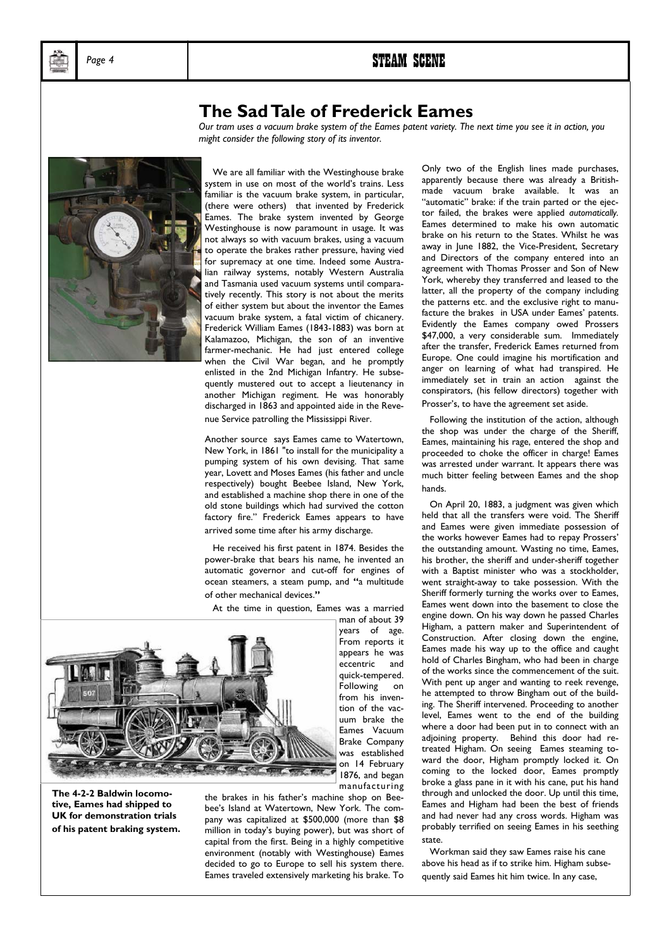### **The Sad Tale of Frederick Eames**

*Our tram uses a vacuum brake system of the Eames patent variety. The next time you see it in action, you might consider the following story of its inventor.* 



 We are all familiar with the Westinghouse brake system in use on most of the world's trains. Less familiar is the vacuum brake system, in particular, (there were others) that invented by Frederick Eames. The brake system invented by George Westinghouse is now paramount in usage. It was not always so with vacuum brakes, using a vacuum to operate the brakes rather pressure, having vied for supremacy at one time. Indeed some Australian railway systems, notably Western Australia and Tasmania used vacuum systems until comparatively recently. This story is not about the merits of either system but about the inventor the Eames vacuum brake system, a fatal victim of chicanery. Frederick William Eames (1843-1883) was born at Kalamazoo, Michigan, the son of an inventive farmer-mechanic. He had just entered college when the Civil War began, and he promptly enlisted in the 2nd Michigan Infantry. He subsequently mustered out to accept a lieutenancy in another Michigan regiment. He was honorably discharged in 1863 and appointed aide in the Revenue Service patrolling the Mississippi River.

Another source says Eames came to Watertown, New York, in 1861 "to install for the municipality a pumping system of his own devising. That same year, Lovett and Moses Eames (his father and uncle respectively) bought Beebee Island, New York, and established a machine shop there in one of the old stone buildings which had survived the cotton factory fire." Frederick Eames appears to have arrived some time after his army discharge.

 He received his first patent in 1874. Besides the power-brake that bears his name, he invented an automatic governor and cut-off for engines of ocean steamers, a steam pump, and **"**a multitude of other mechanical devices.**"**

At the time in question, Eames was a married



**The 4-2-2 Baldwin locomotive, Eames had shipped to UK for demonstration trials of his patent braking system.** 

the brakes in his father's machine shop on Beebee's Island at Watertown, New York. The company was capitalized at \$500,000 (more than \$8 million in today's buying power), but was short of capital from the first. Being in a highly competitive environment (notably with Westinghouse) Eames decided to go to Europe to sell his system there. Eames traveled extensively marketing his brake. To

manufacturing

Only two of the English lines made purchases, apparently because there was already a Britishmade vacuum brake available. It was an "automatic" brake: if the train parted or the ejector failed, the brakes were applied *automatically.* Eames determined to make his own automatic brake on his return to the States. Whilst he was away in June 1882, the Vice-President, Secretary and Directors of the company entered into an agreement with Thomas Prosser and Son of New York, whereby they transferred and leased to the latter, all the property of the company including the patterns etc. and the exclusive right to manufacture the brakes in USA under Eames' patents. Evidently the Eames company owed Prossers \$47,000, a very considerable sum. Immediately after the transfer, Frederick Eames returned from Europe. One could imagine his mortification and anger on learning of what had transpired. He immediately set in train an action against the conspirators, (his fellow directors) together with Prosser's, to have the agreement set aside.

 Following the institution of the action, although the shop was under the charge of the Sheriff, Eames, maintaining his rage, entered the shop and proceeded to choke the officer in charge! Eames was arrested under warrant. It appears there was much bitter feeling between Eames and the shop hands.

 On April 20, 1883, a judgment was given which held that all the transfers were void. The Sheriff and Eames were given immediate possession of the works however Eames had to repay Prossers' the outstanding amount. Wasting no time, Eames, his brother, the sheriff and under-sheriff together with a Baptist minister who was a stockholder, went straight-away to take possession. With the Sheriff formerly turning the works over to Eames, Eames went down into the basement to close the engine down. On his way down he passed Charles Higham, a pattern maker and Superintendent of Construction. After closing down the engine, Eames made his way up to the office and caught hold of Charles Bingham, who had been in charge of the works since the commencement of the suit. With pent up anger and wanting to reek revenge, he attempted to throw Bingham out of the building. The Sheriff intervened. Proceeding to another level, Eames went to the end of the building where a door had been put in to connect with an adjoining property. Behind this door had retreated Higham. On seeing Eames steaming toward the door, Higham promptly locked it. On coming to the locked door, Eames promptly broke a glass pane in it with his cane, put his hand through and unlocked the door. Up until this time, Eames and Higham had been the best of friends and had never had any cross words. Higham was probably terrified on seeing Eames in his seething state.

 Workman said they saw Eames raise his cane above his head as if to strike him. Higham subsequently said Eames hit him twice. In any case,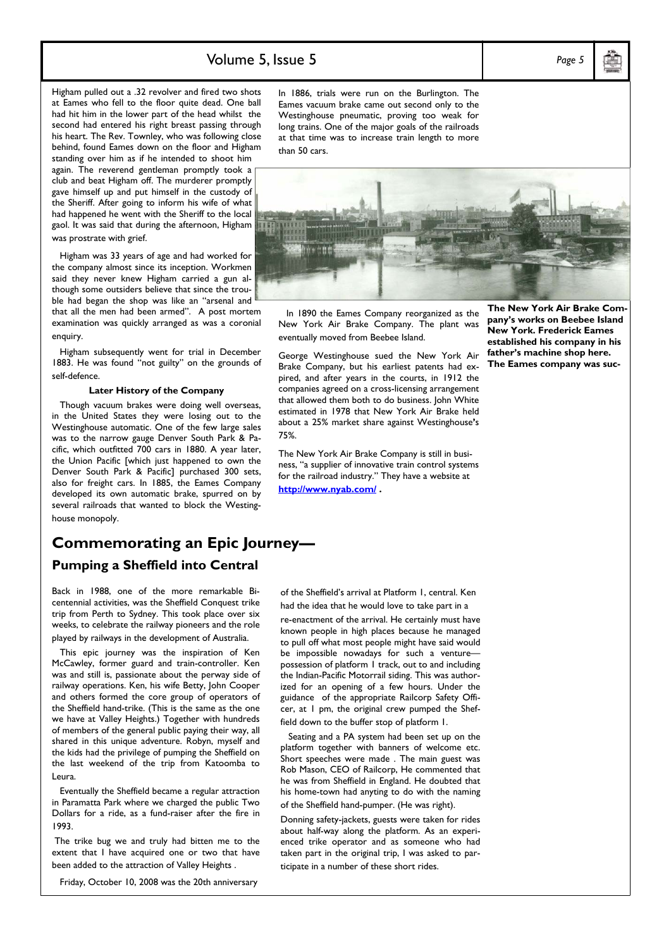### Volume 5, Issue 5 *Page 5*

Higham pulled out a .32 revolver and fired two shots at Eames who fell to the floor quite dead. One ball had hit him in the lower part of the head whilst the second had entered his right breast passing through his heart. The Rev. Townley, who was following close behind, found Eames down on the floor and Higham standing over him as if he intended to shoot him again. The reverend gentleman promptly took a club and beat Higham off. The murderer promptly gave himself up and put himself in the custody of the Sheriff. After going to inform his wife of what had happened he went with the Sheriff to the local gaol. It was said that during the afternoon, Higham was prostrate with grief.

 Higham was 33 years of age and had worked for the company almost since its inception. Workmen said they never knew Higham carried a gun although some outsiders believe that since the trouble had began the shop was like an "arsenal and that all the men had been armed". A post mortem examination was quickly arranged as was a coronial enquiry.

 Higham subsequently went for trial in December 1883. He was found "not guilty" on the grounds of self-defence.

#### **Later History of the Company**

 Though vacuum brakes were doing well overseas, in the United States they were losing out to the Westinghouse automatic. One of the few large sales was to the narrow gauge Denver South Park & Pacific, which outfitted 700 cars in 1880. A year later, the Union Pacific [which just happened to own the Denver South Park & Pacific] purchased 300 sets, also for freight cars. In 1885, the Eames Company developed its own automatic brake, spurred on by several railroads that wanted to block the Westinghouse monopoly.

### **Commemorating an Epic Journey— Pumping a Sheffield into Central**

Back in 1988, one of the more remarkable Bicentennial activities, was the Sheffield Conquest trike trip from Perth to Sydney. This took place over six weeks, to celebrate the railway pioneers and the role played by railways in the development of Australia.

 This epic journey was the inspiration of Ken McCawley, former guard and train-controller. Ken was and still is, passionate about the perway side of railway operations. Ken, his wife Betty, John Cooper and others formed the core group of operators of the Sheffield hand-trike. (This is the same as the one we have at Valley Heights.) Together with hundreds of members of the general public paying their way, all shared in this unique adventure. Robyn, myself and the kids had the privilege of pumping the Sheffield on the last weekend of the trip from Katoomba to Leura.

 Eventually the Sheffield became a regular attraction in Paramatta Park where we charged the public Two Dollars for a ride, as a fund-raiser after the fire in 1993.

 The trike bug we and truly had bitten me to the extent that I have acquired one or two that have been added to the attraction of Valley Heights .

Friday, October 10, 2008 was the 20th anniversary

In 1886, trials were run on the Burlington. The Eames vacuum brake came out second only to the Westinghouse pneumatic, proving too weak for long trains. One of the major goals of the railroads at that time was to increase train length to more than 50 cars.



 In 1890 the Eames Company reorganized as the New York Air Brake Company. The plant was eventually moved from Beebee Island.

George Westinghouse sued the New York Air Brake Company, but his earliest patents had expired, and after years in the courts, in 1912 the companies agreed on a cross-licensing arrangement that allowed them both to do business. John White estimated in 1978 that New York Air Brake held about a 25% market share against Westinghouse**'**s 75%.

The New York Air Brake Company is still in business, "a supplier of innovative train control systems for the railroad industry." They have a website at **<http://www.nyab.com/> .**

**The New York Air Brake Company's works on Beebee Island New York. Frederick Eames established his company in his father's machine shop here. The Eames company was suc-**

of the Sheffield's arrival at Platform 1, central. Ken had the idea that he would love to take part in a

re-enactment of the arrival. He certainly must have known people in high places because he managed to pull off what most people might have said would be impossible nowadays for such a venture possession of platform 1 track, out to and including the Indian-Pacific Motorrail siding. This was authorized for an opening of a few hours. Under the guidance of the appropriate Railcorp Safety Officer, at 1 pm, the original crew pumped the Sheffield down to the buffer stop of platform 1.

 Seating and a PA system had been set up on the platform together with banners of welcome etc. Short speeches were made . The main guest was Rob Mason, CEO of Railcorp, He commented that he was from Sheffield in England. He doubted that his home-town had anyting to do with the naming of the Sheffield hand-pumper. (He was right).

Donning safety-jackets, guests were taken for rides about half-way along the platform. As an experienced trike operator and as someone who had taken part in the original trip, I was asked to participate in a number of these short rides.